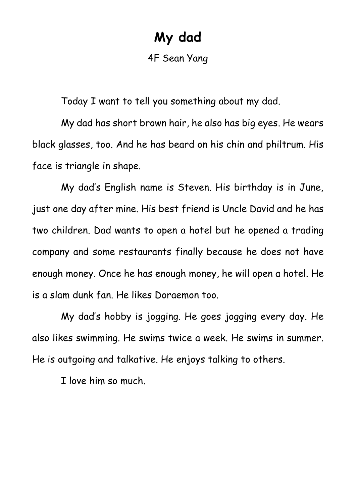## **My dad**

4F Sean Yang

Today I want to tell you something about my dad.

My dad has short brown hair, he also has big eyes. He wears black glasses, too. And he has beard on his chin and philtrum. His face is triangle in shape.

My dad's English name is Steven. His birthday is in June, just one day after mine. His best friend is Uncle David and he has two children. Dad wants to open a hotel but he opened a trading company and some restaurants finally because he does not have enough money. Once he has enough money, he will open a hotel. He is a slam dunk fan. He likes Doraemon too.

My dad's hobby is jogging. He goes jogging every day. He also likes swimming. He swims twice a week. He swims in summer. He is outgoing and talkative. He enjoys talking to others.

I love him so much.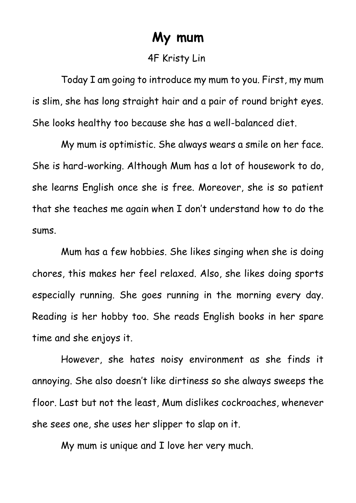### **My mum**

#### 4F Kristy Lin

Today I am going to introduce my mum to you. First, my mum is slim, she has long straight hair and a pair of round bright eyes. She looks healthy too because she has a well-balanced diet.

My mum is optimistic. She always wears a smile on her face. She is hard-working. Although Mum has a lot of housework to do, she learns English once she is free. Moreover, she is so patient that she teaches me again when I don't understand how to do the sums.

Mum has a few hobbies. She likes singing when she is doing chores, this makes her feel relaxed. Also, she likes doing sports especially running. She goes running in the morning every day. Reading is her hobby too. She reads English books in her spare time and she enjoys it.

However, she hates noisy environment as she finds it annoying. She also doesn't like dirtiness so she always sweeps the floor. Last but not the least, Mum dislikes cockroaches, whenever she sees one, she uses her slipper to slap on it.

My mum is unique and I love her very much.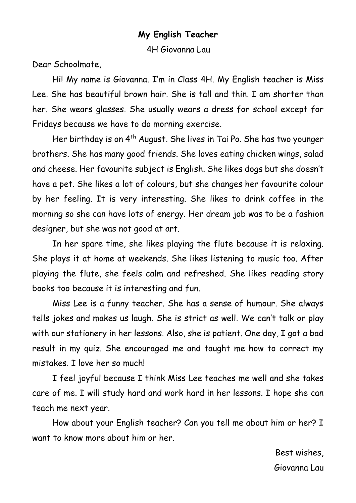#### **My English Teacher**

4H Giovanna Lau

Dear Schoolmate,

 Hi! My name is Giovanna. I'm in Class 4H. My English teacher is Miss Lee. She has beautiful brown hair. She is tall and thin. I am shorter than her. She wears glasses. She usually wears a dress for school except for Fridays because we have to do morning exercise.

Her birthday is on 4<sup>th</sup> August. She lives in Tai Po. She has two younger brothers. She has many good friends. She loves eating chicken wings, salad and cheese. Her favourite subject is English. She likes dogs but she doesn't have a pet. She likes a lot of colours, but she changes her favourite colour by her feeling. It is very interesting. She likes to drink coffee in the morning so she can have lots of energy. Her dream job was to be a fashion designer, but she was not good at art.

 In her spare time, she likes playing the flute because it is relaxing. She plays it at home at weekends. She likes listening to music too. After playing the flute, she feels calm and refreshed. She likes reading story books too because it is interesting and fun.

 Miss Lee is a funny teacher. She has a sense of humour. She always tells jokes and makes us laugh. She is strict as well. We can't talk or play with our stationery in her lessons. Also, she is patient. One day, I got a bad result in my quiz. She encouraged me and taught me how to correct my mistakes. I love her so much!

 I feel joyful because I think Miss Lee teaches me well and she takes care of me. I will study hard and work hard in her lessons. I hope she can teach me next year.

 How about your English teacher? Can you tell me about him or her? I want to know more about him or her.

> Best wishes, Giovanna Lau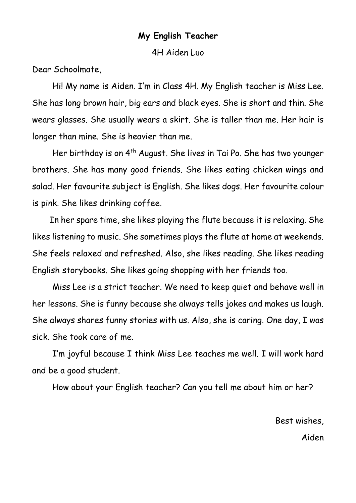#### **My English Teacher**

4H Aiden Luo

Dear Schoolmate,

 Hi! My name is Aiden. I'm in Class 4H. My English teacher is Miss Lee. She has long brown hair, big ears and black eyes. She is short and thin. She wears glasses. She usually wears a skirt. She is taller than me. Her hair is longer than mine. She is heavier than me.

Her birthday is on 4<sup>th</sup> August. She lives in Tai Po. She has two younger brothers. She has many good friends. She likes eating chicken wings and salad. Her favourite subject is English. She likes dogs. Her favourite colour is pink. She likes drinking coffee.

 In her spare time, she likes playing the flute because it is relaxing. She likes listening to music. She sometimes plays the flute at home at weekends. She feels relaxed and refreshed. Also, she likes reading. She likes reading English storybooks. She likes going shopping with her friends too.

 Miss Lee is a strict teacher. We need to keep quiet and behave well in her lessons. She is funny because she always tells jokes and makes us laugh. She always shares funny stories with us. Also, she is caring. One day, I was sick. She took care of me.

 I'm joyful because I think Miss Lee teaches me well. I will work hard and be a good student.

How about your English teacher? Can you tell me about him or her?

Best wishes, Aiden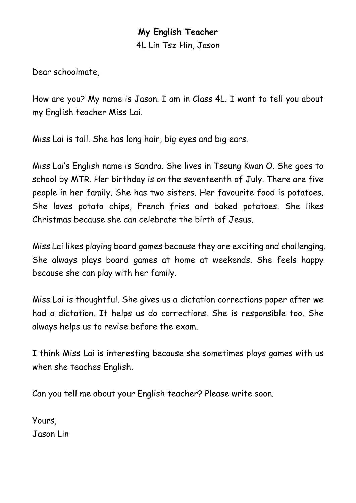#### **My English Teacher** 4L Lin Tsz Hin, Jason

Dear schoolmate,

How are you? My name is Jason. I am in Class 4L. I want to tell you about my English teacher Miss Lai.

Miss Lai is tall. She has long hair, big eyes and big ears.

Miss Lai's English name is Sandra. She lives in Tseung Kwan O. She goes to school by MTR. Her birthday is on the seventeenth of July. There are five people in her family. She has two sisters. Her favourite food is potatoes. She loves potato chips, French fries and baked potatoes. She likes Christmas because she can celebrate the birth of Jesus.

Miss Lai likes playing board games because they are exciting and challenging. She always plays board games at home at weekends. She feels happy because she can play with her family.

Miss Lai is thoughtful. She gives us a dictation corrections paper after we had a dictation. It helps us do corrections. She is responsible too. She always helps us to revise before the exam.

I think Miss Lai is interesting because she sometimes plays games with us when she teaches English.

Can you tell me about your English teacher? Please write soon.

Yours, Jason Lin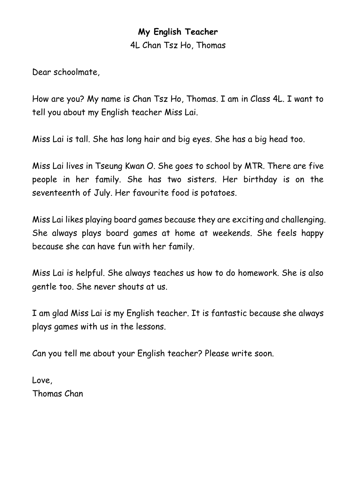#### **My English Teacher** 4L Chan Tsz Ho, Thomas

Dear schoolmate,

How are you? My name is Chan Tsz Ho, Thomas. I am in Class 4L. I want to tell you about my English teacher Miss Lai.

Miss Lai is tall. She has long hair and big eyes. She has a big head too.

Miss Lai lives in Tseung Kwan O. She goes to school by MTR. There are five people in her family. She has two sisters. Her birthday is on the seventeenth of July. Her favourite food is potatoes.

Miss Lai likes playing board games because they are exciting and challenging. She always plays board games at home at weekends. She feels happy because she can have fun with her family.

Miss Lai is helpful. She always teaches us how to do homework. She is also gentle too. She never shouts at us.

I am glad Miss Lai is my English teacher. It is fantastic because she always plays games with us in the lessons.

Can you tell me about your English teacher? Please write soon.

Love, Thomas Chan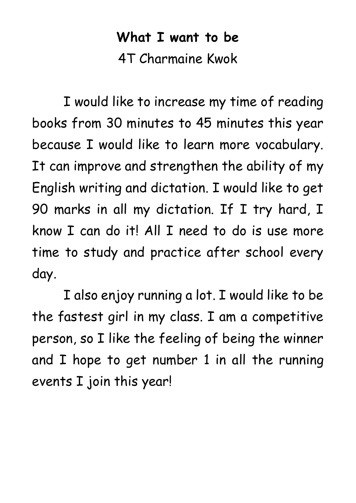# **What I want to be** 4T Charmaine Kwok

 I would like to increase my time of reading books from 30 minutes to 45 minutes this year because I would like to learn more vocabulary. It can improve and strengthen the ability of my English writing and dictation. I would like to get 90 marks in all my dictation. If I try hard, I know I can do it! All I need to do is use more time to study and practice after school every day.

 I also enjoy running a lot. I would like to be the fastest girl in my class. I am a competitive person, so I like the feeling of being the winner and I hope to get number 1 in all the running events I join this year!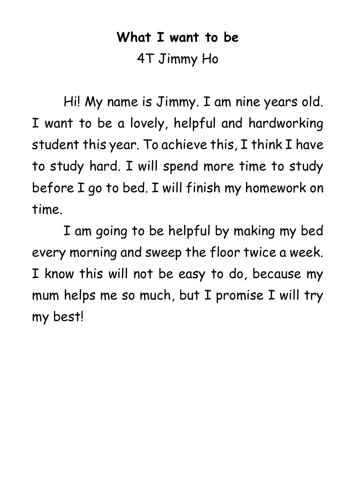# **What I want to be** 4T Jimmy Ho

 Hi! My name is Jimmy. I am nine years old. I want to be a lovely, helpful and hardworking student this year. To achieve this, I think I have to study hard. I will spend more time to study before I go to bed. I will finish my homework on time.

 I am going to be helpful by making my bed every morning and sweep the floor twice a week. I know this will not be easy to do, because my mum helps me so much, but I promise I will try my best!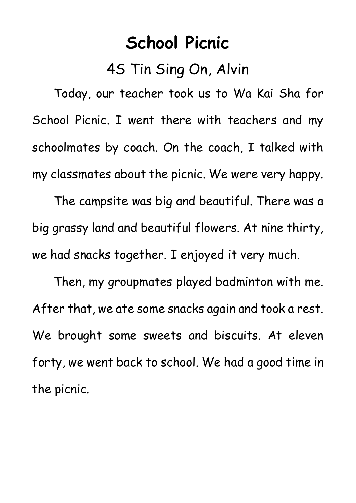## **School Picnic**

### 4S Tin Sing On, Alvin

Today, our teacher took us to Wa Kai Sha for School Picnic. I went there with teachers and my schoolmates by coach. On the coach, I talked with my classmates about the picnic. We were very happy.

The campsite was big and beautiful. There was a big grassy land and beautiful flowers. At nine thirty, we had snacks together. I enjoyed it very much.

Then, my groupmates played badminton with me. After that, we ate some snacks again and took a rest. We brought some sweets and biscuits. At eleven forty, we went back to school. We had a good time in the picnic.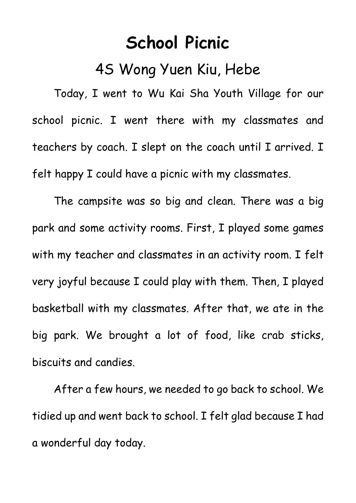## **School Picnic**

### 4S Wong Yuen Kiu, Hebe

Today, I went to Wu Kai Sha Youth Village for our school picnic. I went there with my classmates and teachers by coach. I slept on the coach until I arrived. I felt happy I could have a picnic with my classmates.

The campsite was so big and clean. There was a big park and some activity rooms. First, I played some games with my teacher and classmates in an activity room. I felt very joyful because I could play with them. Then, I played basketball with my classmates. After that, we ate in the big park. We brought a lot of food, like crab sticks, biscuits and candies.

After a few hours, we needed to go back to school. We tidied up and went back to school. I felt glad because I had a wonderful day today.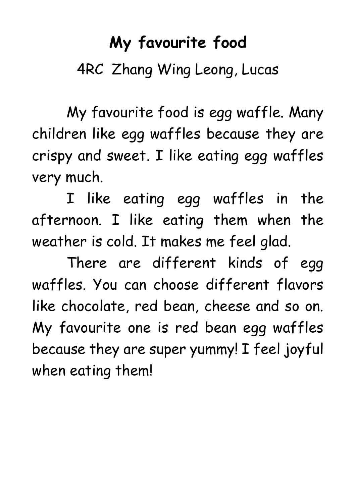# **My favourite food**

## 4RC Zhang Wing Leong, Lucas

 My favourite food is egg waffle. Many children like egg waffles because they are crispy and sweet. I like eating egg waffles very much.

 I like eating egg waffles in the afternoon. I like eating them when the weather is cold. It makes me feel glad.

 There are different kinds of egg waffles. You can choose different flavors like chocolate, red bean, cheese and so on. My favourite one is red bean egg waffles because they are super yummy! I feel joyful when eating them!